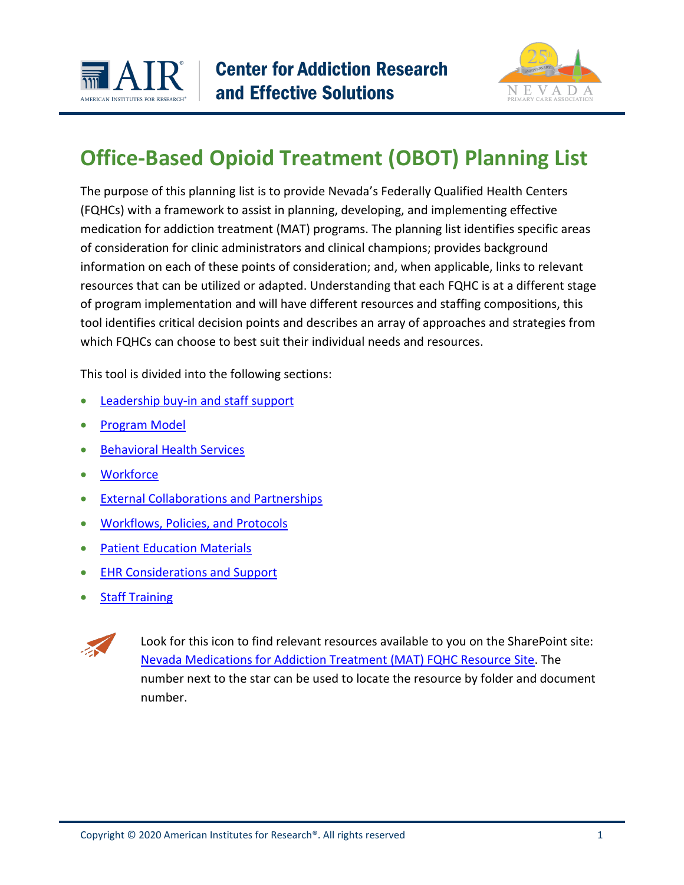



# **Office-Based Opioid Treatment (OBOT) Planning List**

The purpose of this planning list is to provide Nevada's Federally Qualified Health Centers (FQHCs) with a framework to assist in planning, developing, and implementing effective medication for addiction treatment (MAT) programs. The planning list identifies specific areas of consideration for clinic administrators and clinical champions; provides background information on each of these points of consideration; and, when applicable, links to relevant resources that can be utilized or adapted. Understanding that each FQHC is at a different stage of program implementation and will have different resources and staffing compositions, this tool identifies critical decision points and describes an array of approaches and strategies from which FQHCs can choose to best suit their individual needs and resources.

This tool is divided into the following sections:

- [Leadership buy-in and staff support](#page-1-0)
- [Program Model](#page-2-0)
- [Behavioral Health Services](#page-3-0)
- [Workforce](#page-4-0)
- [External Collaborations and Partnerships](#page-7-0)
- [Workflows, Policies, and Protocols](#page-9-0)
- [Patient Education Materials](#page-12-0)
- **[EHR Considerations and Support](#page-13-0)**
- **Staff Training**



Look for this icon to find relevant resources available to you on the SharePoint site: [Nevada Medications for Addiction Treatment \(MAT\) FQHC Resource Site.](https://msair.sharepoint.com/sites/Ext4/SPO-2068) The number next to the star can be used to locate the resource by folder and document number.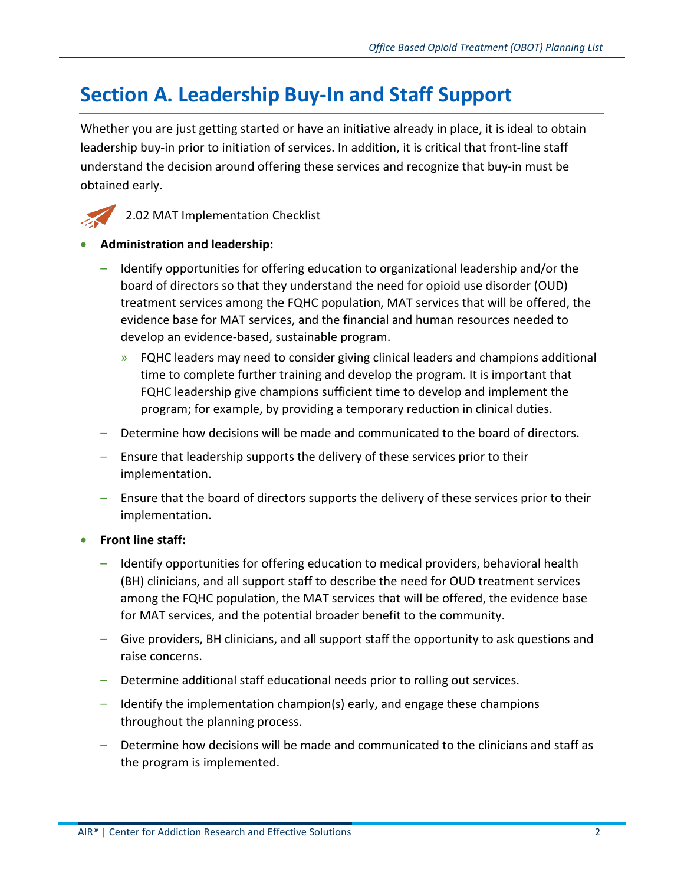## <span id="page-1-0"></span>**Section A. Leadership Buy-In and Staff Support**

Whether you are just getting started or have an initiative already in place, it is ideal to obtain leadership buy-in prior to initiation of services. In addition, it is critical that front-line staff understand the decision around offering these services and recognize that buy-in must be obtained early.



2.02 MAT Implementation Checklist

#### • **Administration and leadership:**

- Identify opportunities for offering education to organizational leadership and/or the board of directors so that they understand the need for opioid use disorder (OUD) treatment services among the FQHC population, MAT services that will be offered, the evidence base for MAT services, and the financial and human resources needed to develop an evidence-based, sustainable program.
	- » FQHC leaders may need to consider giving clinical leaders and champions additional time to complete further training and develop the program. It is important that FQHC leadership give champions sufficient time to develop and implement the program; for example, by providing a temporary reduction in clinical duties.
- Determine how decisions will be made and communicated to the board of directors.
- Ensure that leadership supports the delivery of these services prior to their implementation.
- Ensure that the board of directors supports the delivery of these services prior to their implementation.

#### • **Front line staff:**

- Identify opportunities for offering education to medical providers, behavioral health (BH) clinicians, and all support staff to describe the need for OUD treatment services among the FQHC population, the MAT services that will be offered, the evidence base for MAT services, and the potential broader benefit to the community.
- Give providers, BH clinicians, and all support staff the opportunity to ask questions and raise concerns.
- Determine additional staff educational needs prior to rolling out services.
- Identify the implementation champion(s) early, and engage these champions throughout the planning process.
- Determine how decisions will be made and communicated to the clinicians and staff as the program is implemented.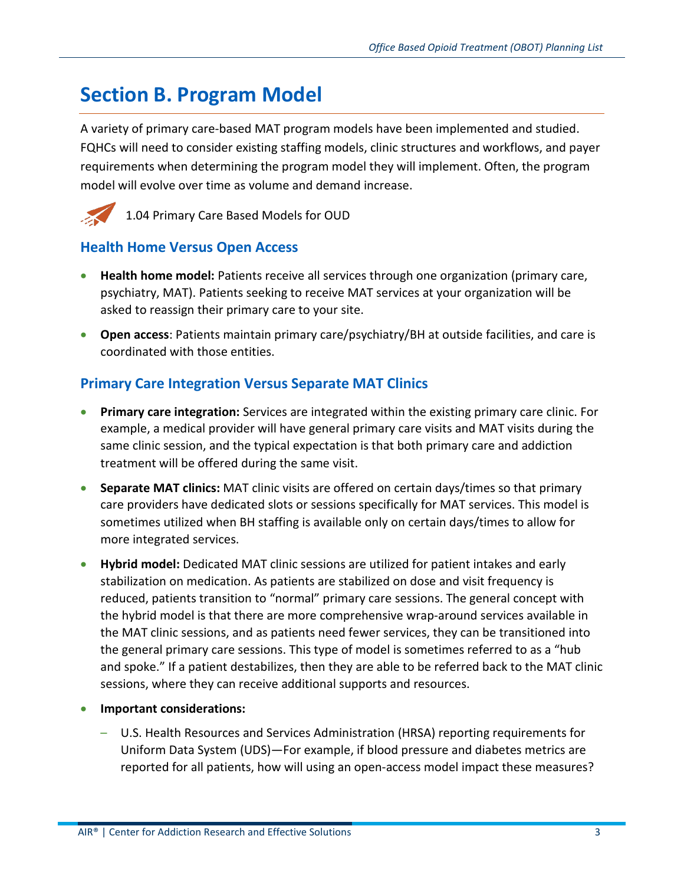## <span id="page-2-0"></span>**Section B. Program Model**

A variety of primary care-based MAT program models have been implemented and studied. FQHCs will need to consider existing staffing models, clinic structures and workflows, and payer requirements when determining the program model they will implement. Often, the program model will evolve over time as volume and demand increase.



1.04 Primary Care Based Models for OUD

### **Health Home Versus Open Access**

- **Health home model:** Patients receive all services through one organization (primary care, psychiatry, MAT). Patients seeking to receive MAT services at your organization will be asked to reassign their primary care to your site.
- **Open access**: Patients maintain primary care/psychiatry/BH at outside facilities, and care is coordinated with those entities.

### **Primary Care Integration Versus Separate MAT Clinics**

- **Primary care integration:** Services are integrated within the existing primary care clinic. For example, a medical provider will have general primary care visits and MAT visits during the same clinic session, and the typical expectation is that both primary care and addiction treatment will be offered during the same visit.
- **Separate MAT clinics:** MAT clinic visits are offered on certain days/times so that primary care providers have dedicated slots or sessions specifically for MAT services. This model is sometimes utilized when BH staffing is available only on certain days/times to allow for more integrated services.
- **Hybrid model:** Dedicated MAT clinic sessions are utilized for patient intakes and early stabilization on medication. As patients are stabilized on dose and visit frequency is reduced, patients transition to "normal" primary care sessions. The general concept with the hybrid model is that there are more comprehensive wrap-around services available in the MAT clinic sessions, and as patients need fewer services, they can be transitioned into the general primary care sessions. This type of model is sometimes referred to as a "hub and spoke." If a patient destabilizes, then they are able to be referred back to the MAT clinic sessions, where they can receive additional supports and resources.
- **Important considerations:**
	- U.S. Health Resources and Services Administration (HRSA) reporting requirements for Uniform Data System (UDS)—For example, if blood pressure and diabetes metrics are reported for all patients, how will using an open-access model impact these measures?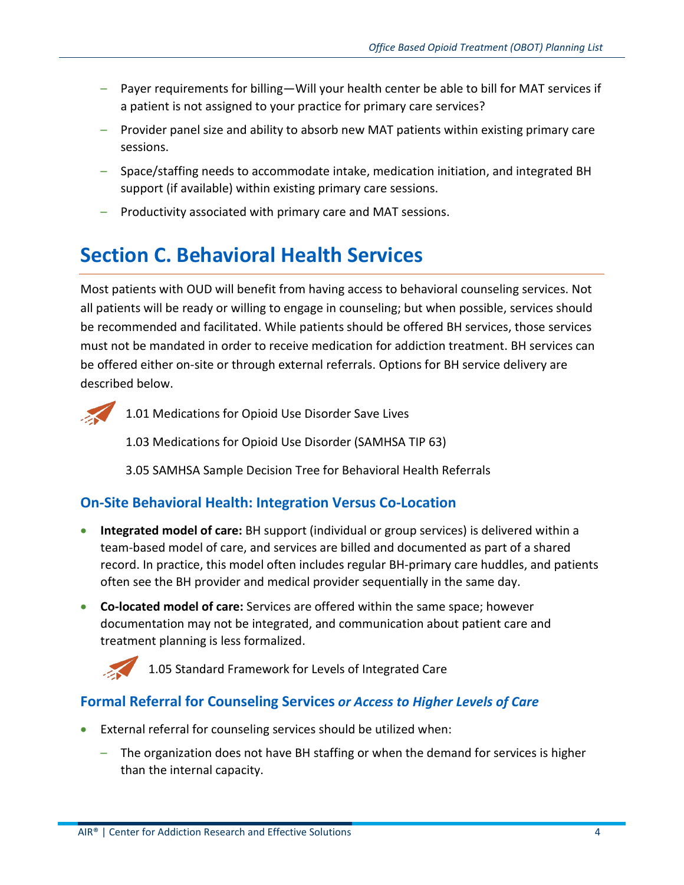- Payer requirements for billing—Will your health center be able to bill for MAT services if a patient is not assigned to your practice for primary care services?
- Provider panel size and ability to absorb new MAT patients within existing primary care sessions.
- Space/staffing needs to accommodate intake, medication initiation, and integrated BH support (if available) within existing primary care sessions.
- Productivity associated with primary care and MAT sessions.

# <span id="page-3-0"></span>**Section C. Behavioral Health Services**

Most patients with OUD will benefit from having access to behavioral counseling services. Not all patients will be ready or willing to engage in counseling; but when possible, services should be recommended and facilitated. While patients should be offered BH services, those services must not be mandated in order to receive medication for addiction treatment. BH services can be offered either on-site or through external referrals. Options for BH service delivery are described below.



1.01 Medications for Opioid Use Disorder Save Lives

1.03 Medications for Opioid Use Disorder (SAMHSA TIP 63)

3.05 SAMHSA Sample Decision Tree for Behavioral Health Referrals

## **On-Site Behavioral Health: Integration Versus Co-Location**

- **Integrated model of care:** BH support (individual or group services) is delivered within a team-based model of care, and services are billed and documented as part of a shared record. In practice, this model often includes regular BH-primary care huddles, and patients often see the BH provider and medical provider sequentially in the same day.
- **Co-located model of care:** Services are offered within the same space; however documentation may not be integrated, and communication about patient care and treatment planning is less formalized.



1.05 Standard Framework for Levels of Integrated Care

## **Formal Referral for Counseling Services** *or Access to Higher Levels of Care*

- External referral for counseling services should be utilized when:
	- The organization does not have BH staffing or when the demand for services is higher than the internal capacity.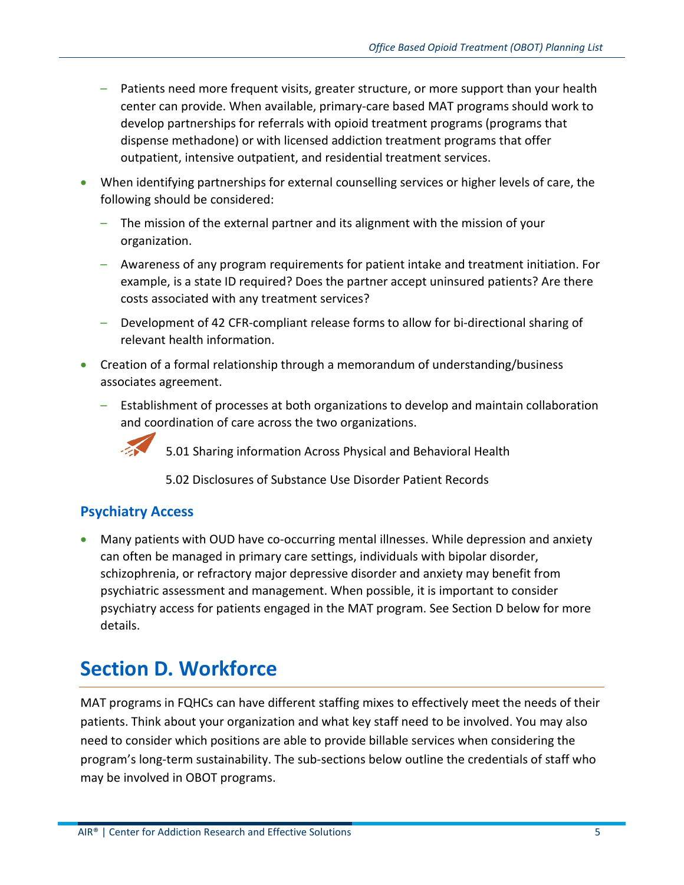- Patients need more frequent visits, greater structure, or more support than your health center can provide. When available, primary-care based MAT programs should work to develop partnerships for referrals with opioid treatment programs (programs that dispense methadone) or with licensed addiction treatment programs that offer outpatient, intensive outpatient, and residential treatment services.
- When identifying partnerships for external counselling services or higher levels of care, the following should be considered:
	- The mission of the external partner and its alignment with the mission of your organization.
	- Awareness of any program requirements for patient intake and treatment initiation. For example, is a state ID required? Does the partner accept uninsured patients? Are there costs associated with any treatment services?
	- Development of 42 CFR-compliant release forms to allow for bi-directional sharing of relevant health information.
- Creation of a formal relationship through a memorandum of understanding/business associates agreement.
	- Establishment of processes at both organizations to develop and maintain collaboration and coordination of care across the two organizations.



5.01 Sharing information Across Physical and Behavioral Health

5.02 Disclosures of Substance Use Disorder Patient Records

### **Psychiatry Access**

• Many patients with OUD have co-occurring mental illnesses. While depression and anxiety can often be managed in primary care settings, individuals with bipolar disorder, schizophrenia, or refractory major depressive disorder and anxiety may benefit from psychiatric assessment and management. When possible, it is important to consider psychiatry access for patients engaged in the MAT program. See Section D below for more details.

## <span id="page-4-0"></span>**Section D. Workforce**

MAT programs in FQHCs can have different staffing mixes to effectively meet the needs of their patients. Think about your organization and what key staff need to be involved. You may also need to consider which positions are able to provide billable services when considering the program's long-term sustainability. The sub-sections below outline the credentials of staff who may be involved in OBOT programs.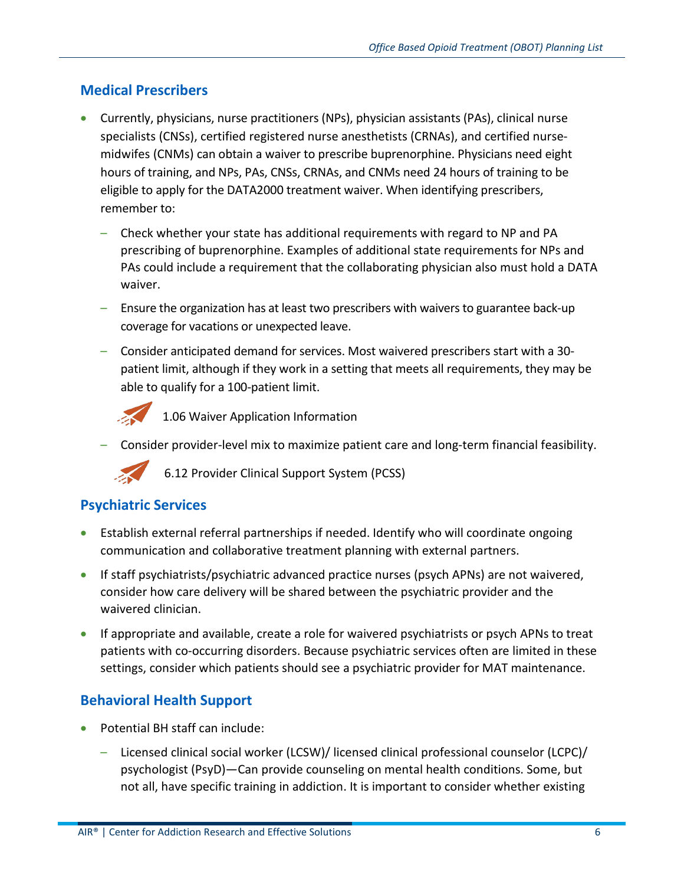### **Medical Prescribers**

- Currently, physicians, nurse practitioners (NPs), physician assistants (PAs), clinical nurse specialists (CNSs), certified registered nurse anesthetists (CRNAs), and certified nursemidwifes (CNMs) can obtain a waiver to prescribe buprenorphine. Physicians need eight hours of training, and NPs, PAs, CNSs, CRNAs, and CNMs need 24 hours of training to be eligible to apply for the DATA2000 treatment waiver. When identifying prescribers, remember to:
	- Check whether your state has additional requirements with regard to NP and PA prescribing of buprenorphine. Examples of additional state requirements for NPs and PAs could include a requirement that the collaborating physician also must hold a DATA waiver.
	- Ensure the organization has at least two prescribers with waivers to guarantee back-up coverage for vacations or unexpected leave.
	- Consider anticipated demand for services. Most waivered prescribers start with a 30 patient limit, although if they work in a setting that meets all requirements, they may be able to qualify for a 100-patient limit.



1.06 Waiver Application Information

– Consider provider-level mix to maximize patient care and long-term financial feasibility.

6.12 Provider Clinical Support System (PCSS)

### **Psychiatric Services**

- Establish external referral partnerships if needed. Identify who will coordinate ongoing communication and collaborative treatment planning with external partners.
- If staff psychiatrists/psychiatric advanced practice nurses (psych APNs) are not waivered, consider how care delivery will be shared between the psychiatric provider and the waivered clinician.
- If appropriate and available, create a role for waivered psychiatrists or psych APNs to treat patients with co-occurring disorders. Because psychiatric services often are limited in these settings, consider which patients should see a psychiatric provider for MAT maintenance.

### **Behavioral Health Support**

- Potential BH staff can include:
	- Licensed clinical social worker (LCSW)/ licensed clinical professional counselor (LCPC)/ psychologist (PsyD)—Can provide counseling on mental health conditions. Some, but not all, have specific training in addiction. It is important to consider whether existing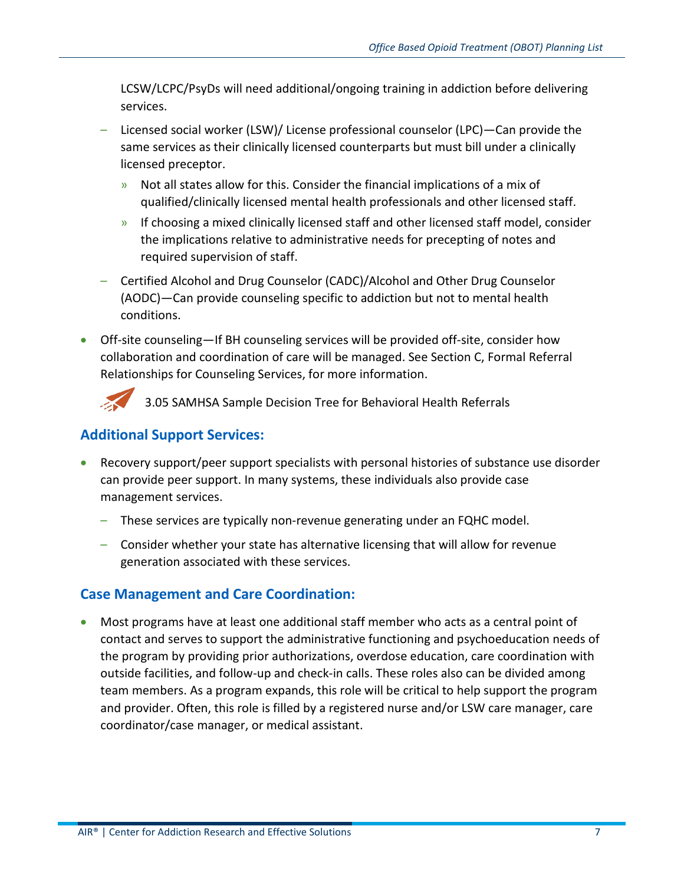LCSW/LCPC/PsyDs will need additional/ongoing training in addiction before delivering services.

- Licensed social worker (LSW)/ License professional counselor (LPC)—Can provide the same services as their clinically licensed counterparts but must bill under a clinically licensed preceptor.
	- » Not all states allow for this. Consider the financial implications of a mix of qualified/clinically licensed mental health professionals and other licensed staff.
	- » If choosing a mixed clinically licensed staff and other licensed staff model, consider the implications relative to administrative needs for precepting of notes and required supervision of staff.
- Certified Alcohol and Drug Counselor (CADC)/Alcohol and Other Drug Counselor (AODC)—Can provide counseling specific to addiction but not to mental health conditions.
- Off-site counseling—If BH counseling services will be provided off-site, consider how collaboration and coordination of care will be managed. See Section C, Formal Referral Relationships for Counseling Services, for more information.



3.05 SAMHSA Sample Decision Tree for Behavioral Health Referrals

## **Additional Support Services:**

- Recovery support/peer support specialists with personal histories of substance use disorder can provide peer support. In many systems, these individuals also provide case management services.
	- These services are typically non-revenue generating under an FQHC model.
	- Consider whether your state has alternative licensing that will allow for revenue generation associated with these services.

### **Case Management and Care Coordination:**

• Most programs have at least one additional staff member who acts as a central point of contact and serves to support the administrative functioning and psychoeducation needs of the program by providing prior authorizations, overdose education, care coordination with outside facilities, and follow-up and check-in calls. These roles also can be divided among team members. As a program expands, this role will be critical to help support the program and provider. Often, this role is filled by a registered nurse and/or LSW care manager, care coordinator/case manager, or medical assistant.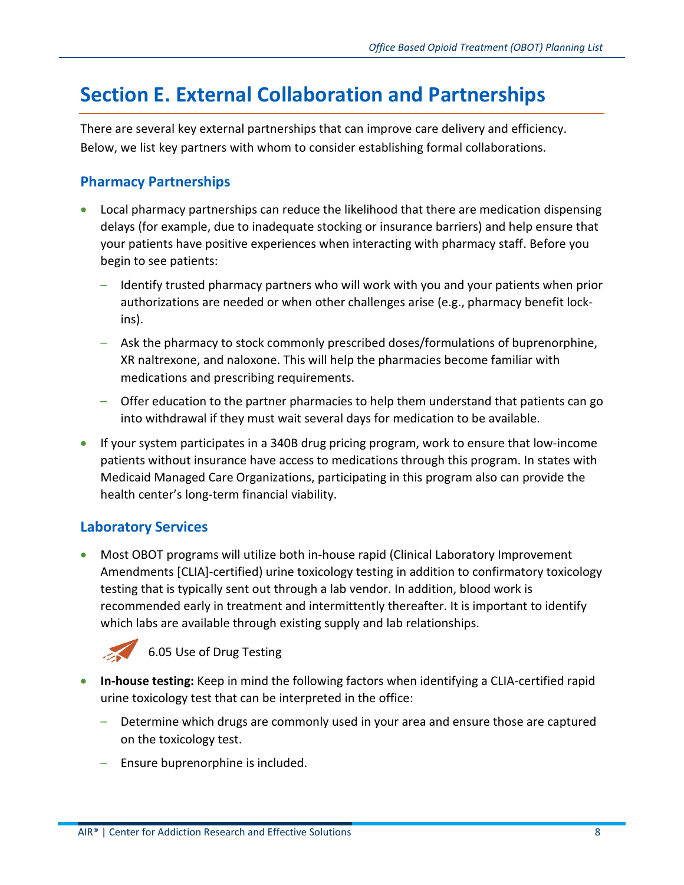## <span id="page-7-0"></span>**Section E. External Collaboration and Partnerships**

There are several key external partnerships that can improve care delivery and efficiency. Below, we list key partners with whom to consider establishing formal collaborations.

### **Pharmacy Partnerships**

- Local pharmacy partnerships can reduce the likelihood that there are medication dispensing delays (for example, due to inadequate stocking or insurance barriers) and help ensure that your patients have positive experiences when interacting with pharmacy staff. Before you begin to see patients:
	- Identify trusted pharmacy partners who will work with you and your patients when prior authorizations are needed or when other challenges arise (e.g., pharmacy benefit lockins).
	- Ask the pharmacy to stock commonly prescribed doses/formulations of buprenorphine, XR naltrexone, and naloxone. This will help the pharmacies become familiar with medications and prescribing requirements.
	- Offer education to the partner pharmacies to help them understand that patients can go into withdrawal if they must wait several days for medication to be available.
- If your system participates in a 340B drug pricing program, work to ensure that low-income patients without insurance have access to medications through this program. In states with Medicaid Managed Care Organizations, participating in this program also can provide the health center's long-term financial viability.

### **Laboratory Services**

• Most OBOT programs will utilize both in-house rapid (Clinical Laboratory Improvement Amendments [CLIA]-certified) urine toxicology testing in addition to confirmatory toxicology testing that is typically sent out through a lab vendor. In addition, blood work is recommended early in treatment and intermittently thereafter. It is important to identify which labs are available through existing supply and lab relationships.



- **In-house testing:** Keep in mind the following factors when identifying a CLIA-certified rapid urine toxicology test that can be interpreted in the office:
	- Determine which drugs are commonly used in your area and ensure those are captured on the toxicology test.
	- Ensure buprenorphine is included.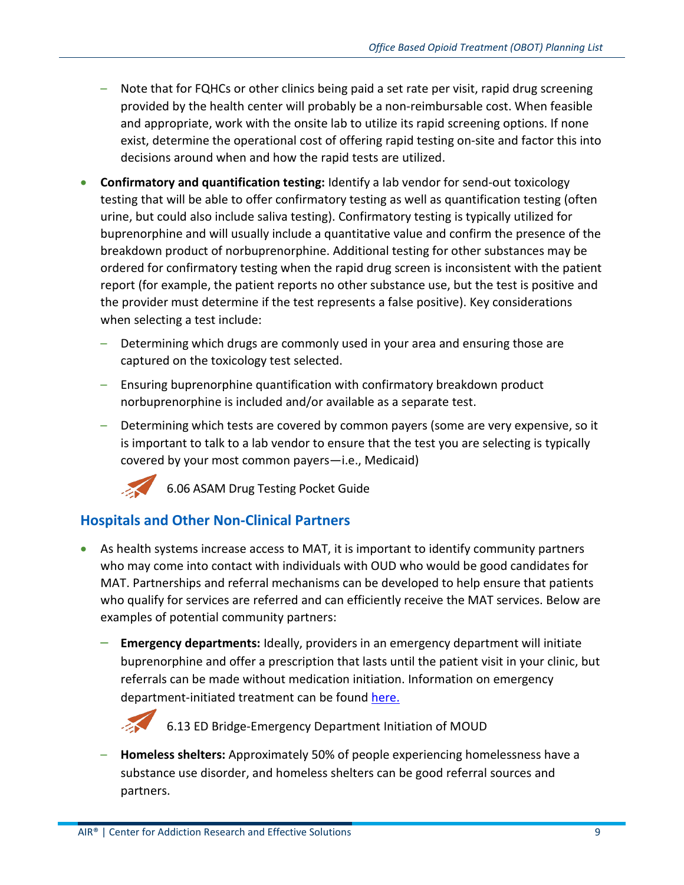- Note that for FQHCs or other clinics being paid a set rate per visit, rapid drug screening provided by the health center will probably be a non-reimbursable cost. When feasible and appropriate, work with the onsite lab to utilize its rapid screening options. If none exist, determine the operational cost of offering rapid testing on-site and factor this into decisions around when and how the rapid tests are utilized.
- **Confirmatory and quantification testing:** Identify a lab vendor for send-out toxicology testing that will be able to offer confirmatory testing as well as quantification testing (often urine, but could also include saliva testing). Confirmatory testing is typically utilized for buprenorphine and will usually include a quantitative value and confirm the presence of the breakdown product of norbuprenorphine. Additional testing for other substances may be ordered for confirmatory testing when the rapid drug screen is inconsistent with the patient report (for example, the patient reports no other substance use, but the test is positive and the provider must determine if the test represents a false positive). Key considerations when selecting a test include:
	- Determining which drugs are commonly used in your area and ensuring those are captured on the toxicology test selected.
	- Ensuring buprenorphine quantification with confirmatory breakdown product norbuprenorphine is included and/or available as a separate test.
	- Determining which tests are covered by common payers (some are very expensive, so it is important to talk to a lab vendor to ensure that the test you are selecting is typically covered by your most common payers—i.e., Medicaid)



6.06 ASAM Drug Testing Pocket Guide

### **Hospitals and Other Non-Clinical Partners**

- As health systems increase access to MAT, it is important to identify community partners who may come into contact with individuals with OUD who would be good candidates for MAT. Partnerships and referral mechanisms can be developed to help ensure that patients who qualify for services are referred and can efficiently receive the MAT services. Below are examples of potential community partners:
	- **Emergency departments:** Ideally, providers in an emergency department will initiate buprenorphine and offer a prescription that lasts until the patient visit in your clinic, but referrals can be made without medication initiation. Information on emergency department-initiated treatment can be found [here.](https://www.bridgetotreatment.org/resources)



6.13 ED Bridge-Emergency Department Initiation of MOUD

– **Homeless shelters:** Approximately 50% of people experiencing homelessness have a substance use disorder, and homeless shelters can be good referral sources and partners.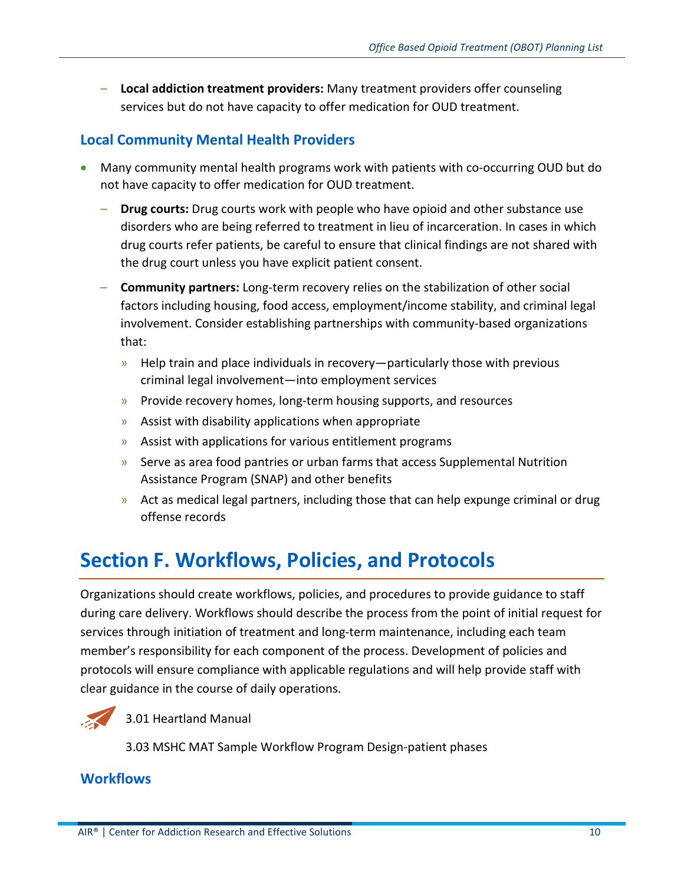– **Local addiction treatment providers:** Many treatment providers offer counseling services but do not have capacity to offer medication for OUD treatment.

### **Local Community Mental Health Providers**

- Many community mental health programs work with patients with co-occurring OUD but do not have capacity to offer medication for OUD treatment.
	- **Drug courts:** Drug courts work with people who have opioid and other substance use disorders who are being referred to treatment in lieu of incarceration. In cases in which drug courts refer patients, be careful to ensure that clinical findings are not shared with the drug court unless you have explicit patient consent.
	- **Community partners:** Long-term recovery relies on the stabilization of other social factors including housing, food access, employment/income stability, and criminal legal involvement. Consider establishing partnerships with community-based organizations that:
		- » Help train and place individuals in recovery—particularly those with previous criminal legal involvement—into employment services
		- » Provide recovery homes, long-term housing supports, and resources
		- » Assist with disability applications when appropriate
		- » Assist with applications for various entitlement programs
		- » Serve as area food pantries or urban farms that access Supplemental Nutrition Assistance Program (SNAP) and other benefits
		- $\rightarrow$  Act as medical legal partners, including those that can help expunge criminal or drug offense records

## <span id="page-9-0"></span>**Section F. Workflows, Policies, and Protocols**

Organizations should create workflows, policies, and procedures to provide guidance to staff during care delivery. Workflows should describe the process from the point of initial request for services through initiation of treatment and long-term maintenance, including each team member's responsibility for each component of the process. Development of policies and protocols will ensure compliance with applicable regulations and will help provide staff with clear guidance in the course of daily operations.



3.01 Heartland Manual

3.03 MSHC MAT Sample Workflow Program Design-patient phases

#### **Workflows**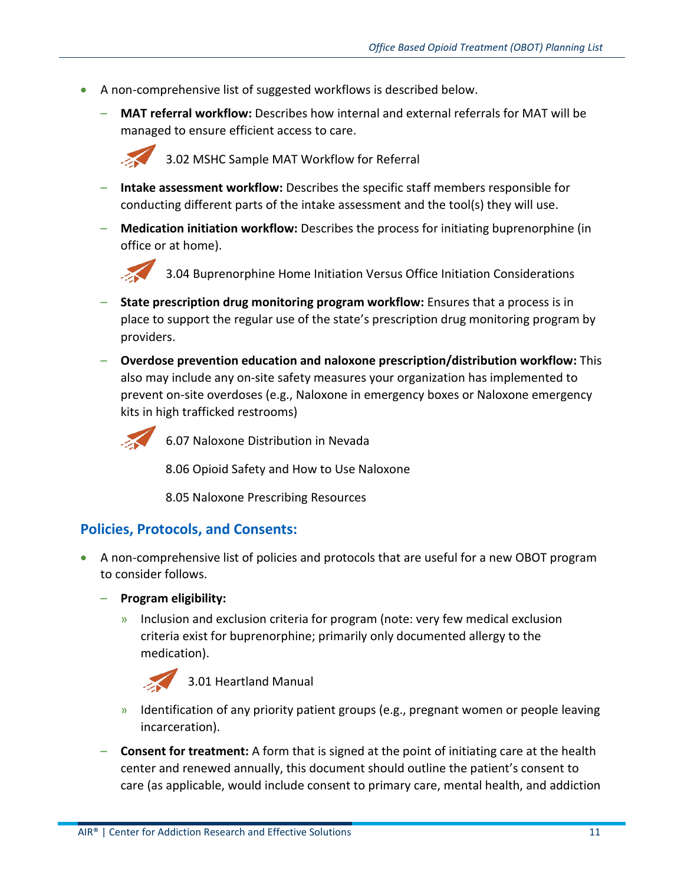- A non-comprehensive list of suggested workflows is described below.
	- **MAT referral workflow:** Describes how internal and external referrals for MAT will be managed to ensure efficient access to care.



3.02 MSHC Sample MAT Workflow for Referral

- **Intake assessment workflow:** Describes the specific staff members responsible for conducting different parts of the intake assessment and the tool(s) they will use.
- **Medication initiation workflow:** Describes the process for initiating buprenorphine (in office or at home).



3.04 Buprenorphine Home Initiation Versus Office Initiation Considerations

- **State prescription drug monitoring program workflow:** Ensures that a process is in place to support the regular use of the state's prescription drug monitoring program by providers.
- **Overdose prevention education and naloxone prescription/distribution workflow:** This also may include any on-site safety measures your organization has implemented to prevent on-site overdoses (e.g., Naloxone in emergency boxes or Naloxone emergency kits in high trafficked restrooms)



6.07 Naloxone Distribution in Nevada

8.06 Opioid Safety and How to Use Naloxone

8.05 Naloxone Prescribing Resources

#### **Policies, Protocols, and Consents:**

- A non-comprehensive list of policies and protocols that are useful for a new OBOT program to consider follows.
	- **Program eligibility:** 
		- » Inclusion and exclusion criteria for program (note: very few medical exclusion criteria exist for buprenorphine; primarily only documented allergy to the medication).



- » Identification of any priority patient groups (e.g., pregnant women or people leaving incarceration).
- **Consent for treatment:** A form that is signed at the point of initiating care at the health center and renewed annually, this document should outline the patient's consent to care (as applicable, would include consent to primary care, mental health, and addiction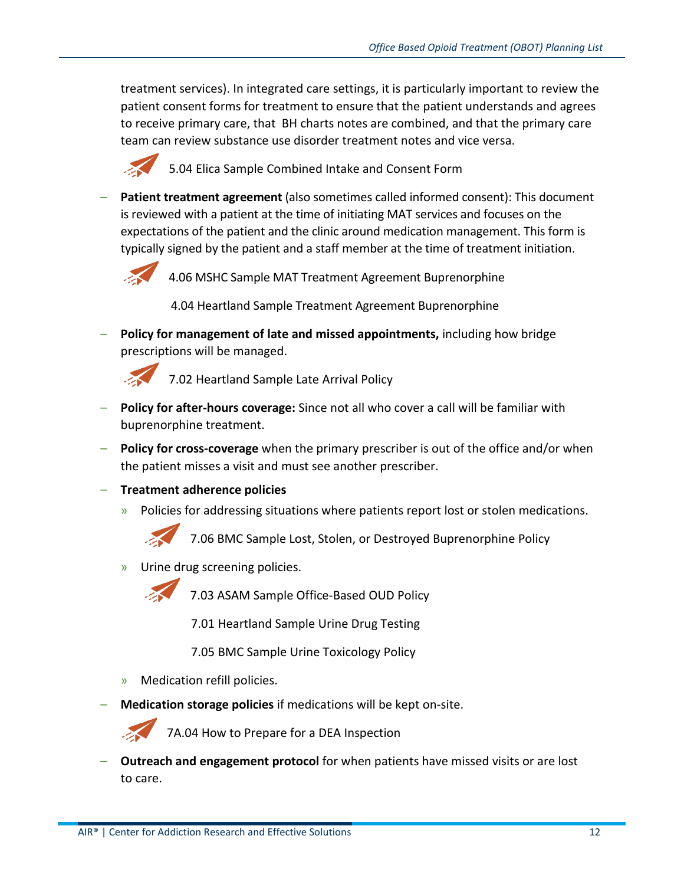treatment services). In integrated care settings, it is particularly important to review the patient consent forms for treatment to ensure that the patient understands and agrees to receive primary care, that BH charts notes are combined, and that the primary care team can review substance use disorder treatment notes and vice versa.



5.04 Elica Sample Combined Intake and Consent Form

– **Patient treatment agreement** (also sometimes called informed consent): This document is reviewed with a patient at the time of initiating MAT services and focuses on the expectations of the patient and the clinic around medication management. This form is typically signed by the patient and a staff member at the time of treatment initiation.



4.06 MSHC Sample MAT Treatment Agreement Buprenorphine

4.04 Heartland Sample Treatment Agreement Buprenorphine

– **Policy for management of late and missed appointments,** including how bridge prescriptions will be managed.



7.02 Heartland Sample Late Arrival Policy

- **Policy for after-hours coverage:** Since not all who cover a call will be familiar with buprenorphine treatment.
- **Policy for cross-coverage** when the primary prescriber is out of the office and/or when the patient misses a visit and must see another prescriber.
- **Treatment adherence policies**
	- » Policies for addressing situations where patients report lost or stolen medications.

7.06 BMC Sample Lost, Stolen, or Destroyed Buprenorphine Policy

» Urine drug screening policies.



7.03 ASAM Sample Office-Based OUD Policy

7.01 Heartland Sample Urine Drug Testing

7.05 BMC Sample Urine Toxicology Policy

- » Medication refill policies.
- **Medication storage policies** if medications will be kept on-site.

7A.04 How to Prepare for a DEA Inspection

– **Outreach and engagement protocol** for when patients have missed visits or are lost to care.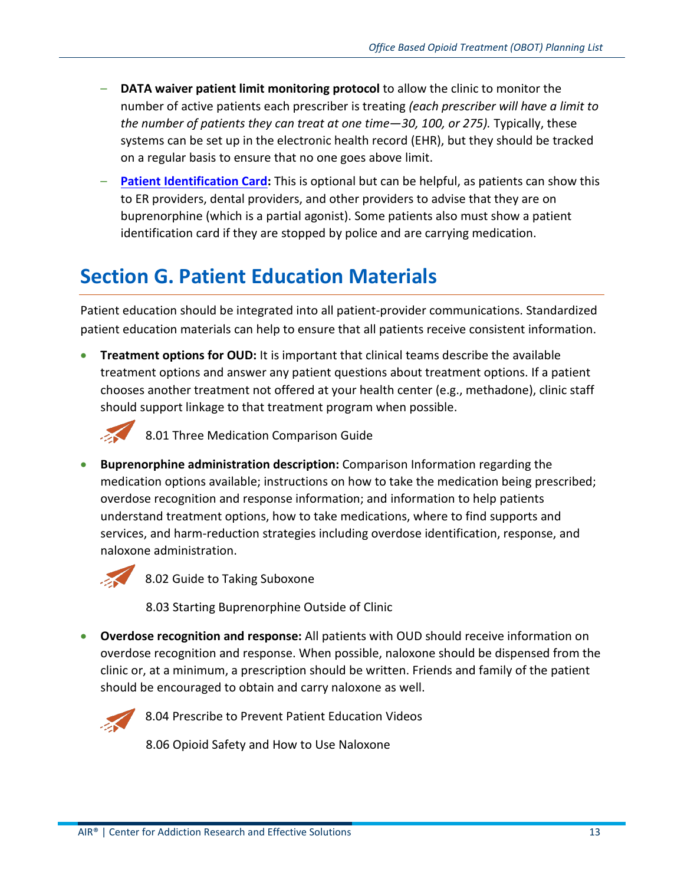- **DATA waiver patient limit monitoring protocol** to allow the clinic to monitor the number of active patients each prescriber is treating *(each prescriber will have a limit to the number of patients they can treat at one time—30, 100, or 275).* Typically, these systems can be set up in the electronic health record (EHR), but they should be tracked on a regular basis to ensure that no one goes above limit.
- **[Patient Identification Card:](https://www.naabt.org/documents/EmergencyCard.pdf)** This is optional but can be helpful, as patients can show this to ER providers, dental providers, and other providers to advise that they are on buprenorphine (which is a partial agonist). Some patients also must show a patient identification card if they are stopped by police and are carrying medication.

## <span id="page-12-0"></span>**Section G. Patient Education Materials**

Patient education should be integrated into all patient-provider communications. Standardized patient education materials can help to ensure that all patients receive consistent information.

• **Treatment options for OUD:** It is important that clinical teams describe the available treatment options and answer any patient questions about treatment options. If a patient chooses another treatment not offered at your health center (e.g., methadone), clinic staff should support linkage to that treatment program when possible.



8.01 Three Medication Comparison Guide

• **Buprenorphine administration description:** Comparison Information regarding the medication options available; instructions on how to take the medication being prescribed; overdose recognition and response information; and information to help patients understand treatment options, how to take medications, where to find supports and services, and harm-reduction strategies including overdose identification, response, and naloxone administration.



8.02 Guide to Taking Suboxone

8.03 Starting Buprenorphine Outside of Clinic

• **Overdose recognition and response:** All patients with OUD should receive information on overdose recognition and response. When possible, naloxone should be dispensed from the clinic or, at a minimum, a prescription should be written. Friends and family of the patient should be encouraged to obtain and carry naloxone as well.



8.04 Prescribe to Prevent Patient Education Videos

8.06 Opioid Safety and How to Use Naloxone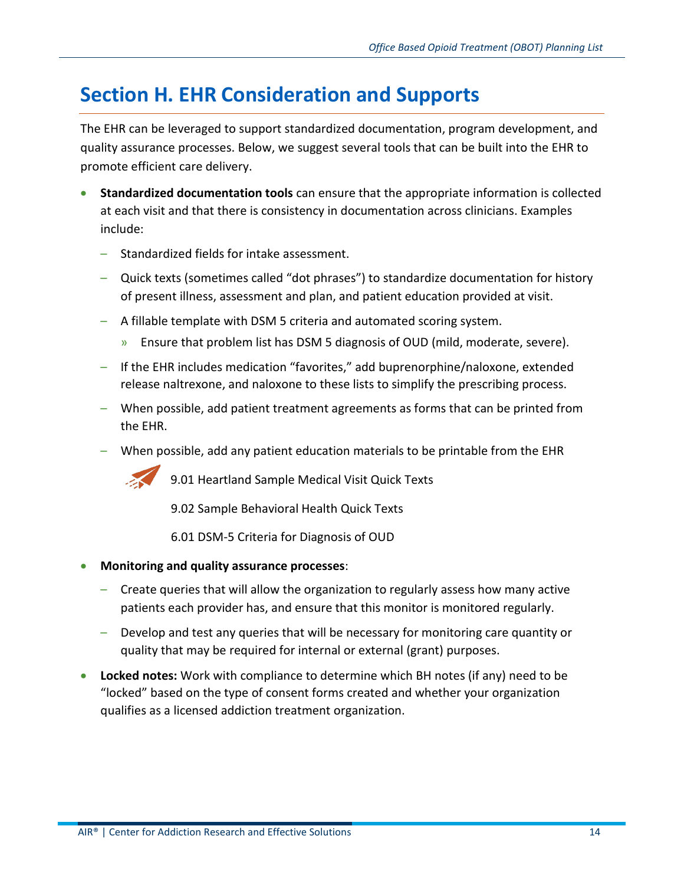## <span id="page-13-0"></span>**Section H. EHR Consideration and Supports**

The EHR can be leveraged to support standardized documentation, program development, and quality assurance processes. Below, we suggest several tools that can be built into the EHR to promote efficient care delivery.

- **Standardized documentation tools** can ensure that the appropriate information is collected at each visit and that there is consistency in documentation across clinicians. Examples include:
	- Standardized fields for intake assessment.
	- Quick texts (sometimes called "dot phrases") to standardize documentation for history of present illness, assessment and plan, and patient education provided at visit.
	- A fillable template with DSM 5 criteria and automated scoring system.
		- » Ensure that problem list has DSM 5 diagnosis of OUD (mild, moderate, severe).
	- If the EHR includes medication "favorites," add buprenorphine/naloxone, extended release naltrexone, and naloxone to these lists to simplify the prescribing process.
	- When possible, add patient treatment agreements as forms that can be printed from the EHR.
	- When possible, add any patient education materials to be printable from the EHR



9.01 Heartland Sample Medical Visit Quick Texts

9.02 Sample Behavioral Health Quick Texts

6.01 DSM-5 Criteria for Diagnosis of OUD

- **Monitoring and quality assurance processes**:
	- Create queries that will allow the organization to regularly assess how many active patients each provider has, and ensure that this monitor is monitored regularly.
	- Develop and test any queries that will be necessary for monitoring care quantity or quality that may be required for internal or external (grant) purposes.
- **Locked notes:** Work with compliance to determine which BH notes (if any) need to be "locked" based on the type of consent forms created and whether your organization qualifies as a licensed addiction treatment organization.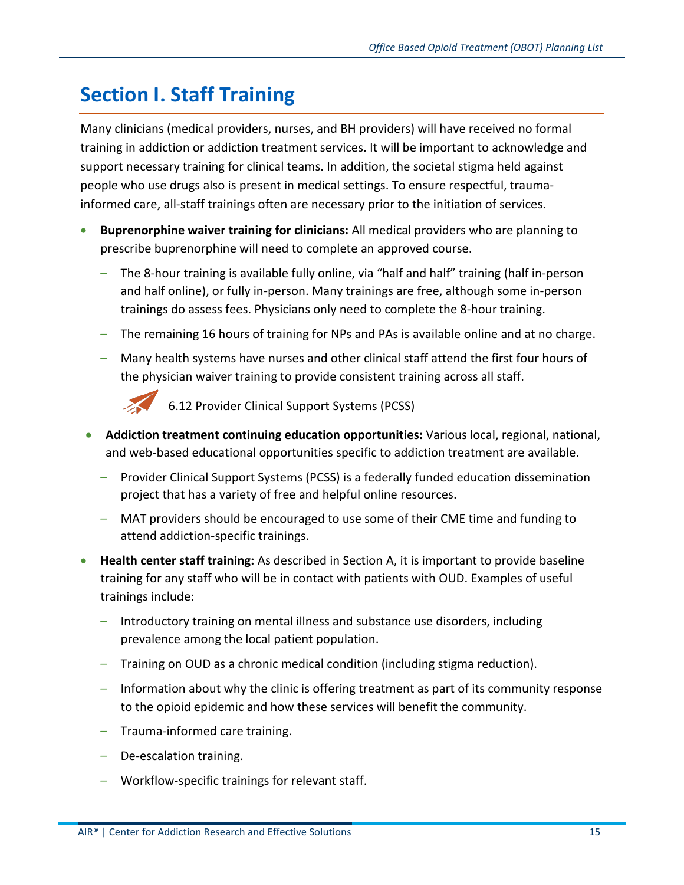# **Section I. Staff Training**

Many clinicians (medical providers, nurses, and BH providers) will have received no formal training in addiction or addiction treatment services. It will be important to acknowledge and support necessary training for clinical teams. In addition, the societal stigma held against people who use drugs also is present in medical settings. To ensure respectful, traumainformed care, all-staff trainings often are necessary prior to the initiation of services.

- **Buprenorphine waiver training for clinicians:** All medical providers who are planning to prescribe buprenorphine will need to complete an approved course.
	- The 8-hour training is available fully online, via "half and half" training (half in-person and half online), or fully in-person. Many trainings are free, although some in-person trainings do assess fees. Physicians only need to complete the 8-hour training.
	- The remaining 16 hours of training for NPs and PAs is available online and at no charge.
	- Many health systems have nurses and other clinical staff attend the first four hours of the physician waiver training to provide consistent training across all staff.



6.12 Provider Clinical Support Systems (PCSS)

- **Addiction treatment continuing education opportunities:** Various local, regional, national, and web-based educational opportunities specific to addiction treatment are available.
	- Provider Clinical Support Systems (PCSS) is a federally funded education dissemination project that has a variety of free and helpful online resources.
	- MAT providers should be encouraged to use some of their CME time and funding to attend addiction-specific trainings.
- **Health center staff training:** As described in Section A, it is important to provide baseline training for any staff who will be in contact with patients with OUD. Examples of useful trainings include:
	- Introductory training on mental illness and substance use disorders, including prevalence among the local patient population.
	- Training on OUD as a chronic medical condition (including stigma reduction).
	- Information about why the clinic is offering treatment as part of its community response to the opioid epidemic and how these services will benefit the community.
	- Trauma-informed care training.
	- De-escalation training.
	- Workflow-specific trainings for relevant staff.